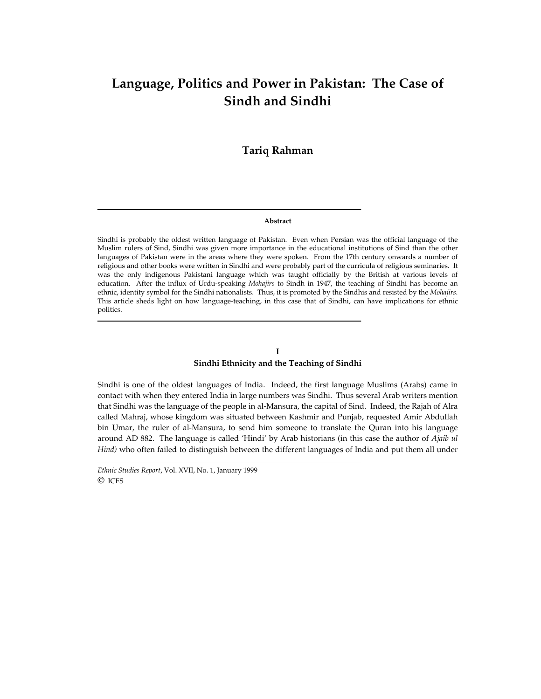# **Language, Politics and Power in Pakistan: The Case of Sindh and Sindhi**

# **Tariq Rahman**

#### **Abstract**

Sindhi is probably the oldest written language of Pakistan. Even when Persian was the official language of the Muslim rulers of Sind, Sindhi was given more importance in the educational institutions of Sind than the other languages of Pakistan were in the areas where they were spoken. From the 17th century onwards a number of religious and other books were written in Sindhi and were probably part of the curricula of religious seminaries. It was the only indigenous Pakistani language which was taught officially by the British at various levels of education. After the influx of Urdu-speaking *Mohajirs* to Sindh in 1947, the teaching of Sindhi has become an ethnic, identity symbol for the Sindhi nationalists. Thus, it is promoted by the Sindhis and resisted by the *Mohajirs*. This article sheds light on how language-teaching, in this case that of Sindhi, can have implications for ethnic politics.

## **I Sindhi Ethnicity and the Teaching of Sindhi**

Sindhi is one of the oldest languages of India. Indeed, the first language Muslims (Arabs) came in contact with when they entered India in large numbers was Sindhi. Thus several Arab writers mention that Sindhi was the language of the people in al-Mansura, the capital of Sind. Indeed, the Rajah of Alra called Mahraj, whose kingdom was situated between Kashmir and Punjab, requested Amir Abdullah bin Umar, the ruler of al-Mansura, to send him someone to translate the Quran into his language around AD 882. The language is called 'Hindi' by Arab historians (in this case the author of *Ajaib ul Hind)* who often failed to distinguish between the different languages of India and put them all under

*Ethnic Studies Report*, Vol. XVII, No. 1, January 1999 © ICES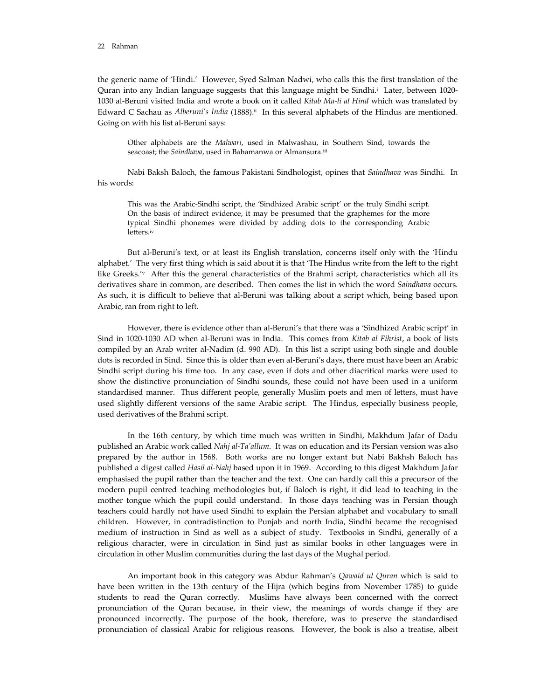the generic name of 'Hindi.' However, Syed Salman Nadwi, who calls this the first translation of the Quran into any Indian language suggests that this language might be Sindhi.i Later, between 1020- 1030 al-Beruni visited India and wrote a book on it called *Kitab Ma-li al Hind* which was translated by Edward C Sachau as *Alberuni's India* (1888).<sup>ii</sup> In this several alphabets of the Hindus are mentioned. Going on with his list al-Beruni says:

 Other alphabets are the *Malwari*, used in Malwashau, in Southern Sind, towards the seacoast; the *Saindhava*, used in Bahamanwa or Almansura.iii

 Nabi Baksh Baloch, the famous Pakistani Sindhologist, opines that *Saindhava* was Sindhi. In his words:

 This was the Arabic-Sindhi script, the 'Sindhized Arabic script' or the truly Sindhi script. On the basis of indirect evidence, it may be presumed that the graphemes for the more typical Sindhi phonemes were divided by adding dots to the corresponding Arabic letters.iv

 But al-Beruni's text, or at least its English translation, concerns itself only with the 'Hindu alphabet.' The very first thing which is said about it is that 'The Hindus write from the left to the right like Greeks.<sup>'v</sup> After this the general characteristics of the Brahmi script, characteristics which all its derivatives share in common, are described. Then comes the list in which the word *Saindhava* occurs. As such, it is difficult to believe that al-Beruni was talking about a script which, being based upon Arabic, ran from right to left.

 However, there is evidence other than al-Beruni's that there was a 'Sindhized Arabic script' in Sind in 1020-1030 AD when al-Beruni was in India. This comes from *Kitab al Fihrist*, a book of lists compiled by an Arab writer al-Nadim (d. 990 AD). In this list a script using both single and double dots is recorded in Sind. Since this is older than even al-Beruni's days, there must have been an Arabic Sindhi script during his time too. In any case, even if dots and other diacritical marks were used to show the distinctive pronunciation of Sindhi sounds, these could not have been used in a uniform standardised manner. Thus different people, generally Muslim poets and men of letters, must have used slightly different versions of the same Arabic script. The Hindus, especially business people, used derivatives of the Brahmi script.

 In the 16th century, by which time much was written in Sindhi, Makhdum Jafar of Dadu published an Arabic work called *Nahj al-Ta'allum*. It was on education and its Persian version was also prepared by the author in 1568. Both works are no longer extant but Nabi Bakhsh Baloch has published a digest called *Hasil al-Nahj* based upon it in 1969. According to this digest Makhdum Jafar emphasised the pupil rather than the teacher and the text. One can hardly call this a precursor of the modern pupil centred teaching methodologies but, if Baloch is right, it did lead to teaching in the mother tongue which the pupil could understand. In those days teaching was in Persian though teachers could hardly not have used Sindhi to explain the Persian alphabet and vocabulary to small children. However, in contradistinction to Punjab and north India, Sindhi became the recognised medium of instruction in Sind as well as a subject of study. Textbooks in Sindhi, generally of a religious character, were in circulation in Sind just as similar books in other languages were in circulation in other Muslim communities during the last days of the Mughal period.

 An important book in this category was Abdur Rahman's *Qawaid ul Quran* which is said to have been written in the 13th century of the Hijra (which begins from November 1785) to guide students to read the Quran correctly. Muslims have always been concerned with the correct pronunciation of the Quran because, in their view, the meanings of words change if they are pronounced incorrectly. The purpose of the book, therefore, was to preserve the standardised pronunciation of classical Arabic for religious reasons. However, the book is also a treatise, albeit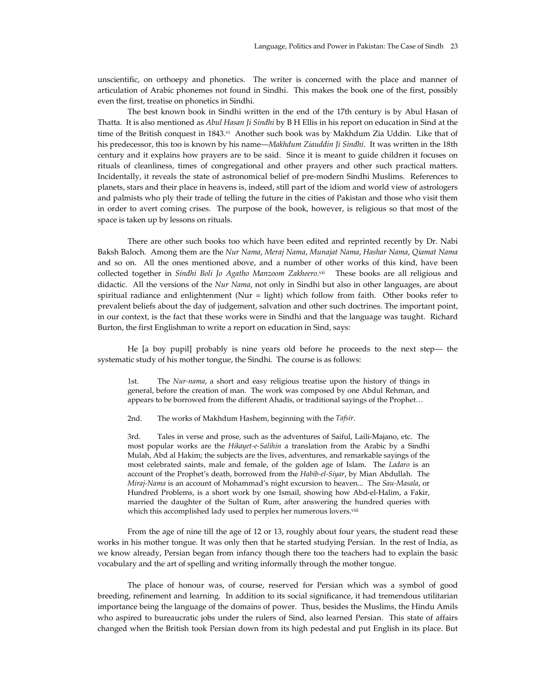unscientific, on orthoepy and phonetics. The writer is concerned with the place and manner of articulation of Arabic phonemes not found in Sindhi. This makes the book one of the first, possibly even the first, treatise on phonetics in Sindhi.

 The best known book in Sindhi written in the end of the 17th century is by Abul Hasan of Thatta. It is also mentioned as *Abul Hasan Ji Sindhi* by B H Ellis in his report on education in Sind at the time of the British conquest in 1843.<sup>vi</sup> Another such book was by Makhdum Zia Uddin. Like that of his predecessor, this too is known by his name—*Makhdum Ziauddin Ji Sindhi*. It was written in the 18th century and it explains how prayers are to be said. Since it is meant to guide children it focuses on rituals of cleanliness, times of congregational and other prayers and other such practical matters. Incidentally, it reveals the state of astronomical belief of pre-modern Sindhi Muslims. References to planets, stars and their place in heavens is, indeed, still part of the idiom and world view of astrologers and palmists who ply their trade of telling the future in the cities of Pakistan and those who visit them in order to avert coming crises. The purpose of the book, however, is religious so that most of the space is taken up by lessons on rituals.

 There are other such books too which have been edited and reprinted recently by Dr. Nabi Baksh Baloch. Among them are the *Nur Nama*, *Meraj Nama*, *Munajat Nama*, *Hashar Nama*, *Qiamat Nama* and so on. All the ones mentioned above, and a number of other works of this kind, have been collected together in *Sindhi Boli Jo Agatho Manzoom Zakheero.*vii These books are all religious and didactic. All the versions of the *Nur Nama*, not only in Sindhi but also in other languages, are about spiritual radiance and enlightenment (Nur = light) which follow from faith. Other books refer to prevalent beliefs about the day of judgement, salvation and other such doctrines. The important point, in our context, is the fact that these works were in Sindhi and that the language was taught. Richard Burton, the first Englishman to write a report on education in Sind, says:

 He [a boy pupil] probably is nine years old before he proceeds to the next step— the systematic study of his mother tongue, the Sindhi. The course is as follows:

 1st. The *Nur-nama*, a short and easy religious treatise upon the history of things in general, before the creation of man. The work was composed by one Abdul Rehman, and appears to be borrowed from the different Ahadis, or traditional sayings of the Prophet…

2nd. The works of Makhdum Hashem, beginning with the *Tafsir*.

 3rd. Tales in verse and prose, such as the adventures of Saiful, Laili-Majano, etc. The most popular works are the *Hikayet-e-Salihin* a translation from the Arabic by a Sindhi Mulah, Abd al Hakim; the subjects are the lives, adventures, and remarkable sayings of the most celebrated saints, male and female, of the golden age of Islam. The *Ladaro* is an account of the Prophet's death, borrowed from the *Habib-el-Siyar*, by Mian Abdullah. The *Miraj-Nama* is an account of Mohammad's night excursion to heaven... The *Sau-Masala*, or Hundred Problems, is a short work by one Ismail, showing how Abd-el-Halim, a Fakir, married the daughter of the Sultan of Rum, after answering the hundred queries with which this accomplished lady used to perplex her numerous lovers.<sup>viii</sup>

 From the age of nine till the age of 12 or 13, roughly about four years, the student read these works in his mother tongue. It was only then that he started studying Persian. In the rest of India, as we know already, Persian began from infancy though there too the teachers had to explain the basic vocabulary and the art of spelling and writing informally through the mother tongue.

 The place of honour was, of course, reserved for Persian which was a symbol of good breeding, refinement and learning. In addition to its social significance, it had tremendous utilitarian importance being the language of the domains of power. Thus, besides the Muslims, the Hindu Amils who aspired to bureaucratic jobs under the rulers of Sind, also learned Persian. This state of affairs changed when the British took Persian down from its high pedestal and put English in its place. But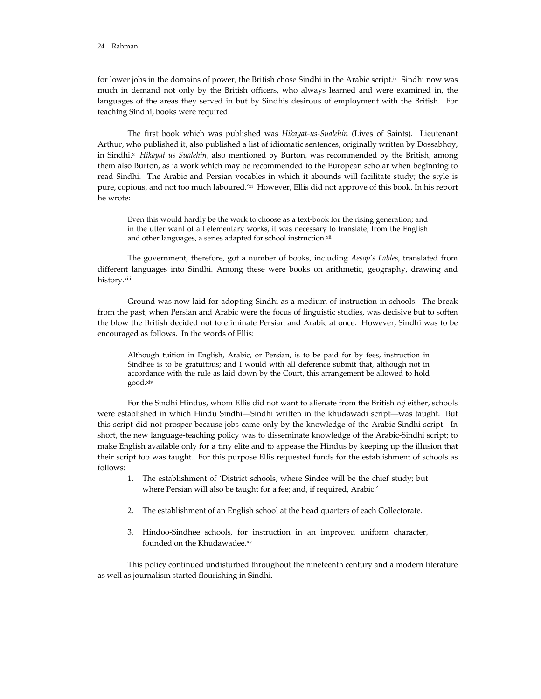for lower jobs in the domains of power, the British chose Sindhi in the Arabic script.<sup>ix</sup> Sindhi now was much in demand not only by the British officers, who always learned and were examined in, the languages of the areas they served in but by Sindhis desirous of employment with the British. For teaching Sindhi, books were required.

 The first book which was published was *Hikayat-us-Sualehin* (Lives of Saints). Lieutenant Arthur, who published it, also published a list of idiomatic sentences, originally written by Dossabhoy, in Sindhi.x *Hikayat us Sualehin*, also mentioned by Burton, was recommended by the British, among them also Burton, as 'a work which may be recommended to the European scholar when beginning to read Sindhi. The Arabic and Persian vocables in which it abounds will facilitate study; the style is pure, copious, and not too much laboured.'xi However, Ellis did not approve of this book. In his report he wrote:

 Even this would hardly be the work to choose as a text-book for the rising generation; and in the utter want of all elementary works, it was necessary to translate, from the English and other languages, a series adapted for school instruction.xii

 The government, therefore, got a number of books, including *Aesop's Fables*, translated from different languages into Sindhi. Among these were books on arithmetic, geography, drawing and history.xiii

 Ground was now laid for adopting Sindhi as a medium of instruction in schools. The break from the past, when Persian and Arabic were the focus of linguistic studies, was decisive but to soften the blow the British decided not to eliminate Persian and Arabic at once. However, Sindhi was to be encouraged as follows. In the words of Ellis:

 Although tuition in English, Arabic, or Persian, is to be paid for by fees, instruction in Sindhee is to be gratuitous; and I would with all deference submit that, although not in accordance with the rule as laid down by the Court, this arrangement be allowed to hold good.xiv

 For the Sindhi Hindus, whom Ellis did not want to alienate from the British *raj* either, schools were established in which Hindu Sindhi—Sindhi written in the khudawadi script—was taught. But this script did not prosper because jobs came only by the knowledge of the Arabic Sindhi script. In short, the new language-teaching policy was to disseminate knowledge of the Arabic-Sindhi script; to make English available only for a tiny elite and to appease the Hindus by keeping up the illusion that their script too was taught. For this purpose Ellis requested funds for the establishment of schools as follows:

- 1. The establishment of 'District schools, where Sindee will be the chief study; but where Persian will also be taught for a fee; and, if required, Arabic.'
- 2. The establishment of an English school at the head quarters of each Collectorate.
- 3. Hindoo-Sindhee schools, for instruction in an improved uniform character, founded on the Khudawadee.xv

 This policy continued undisturbed throughout the nineteenth century and a modern literature as well as journalism started flourishing in Sindhi.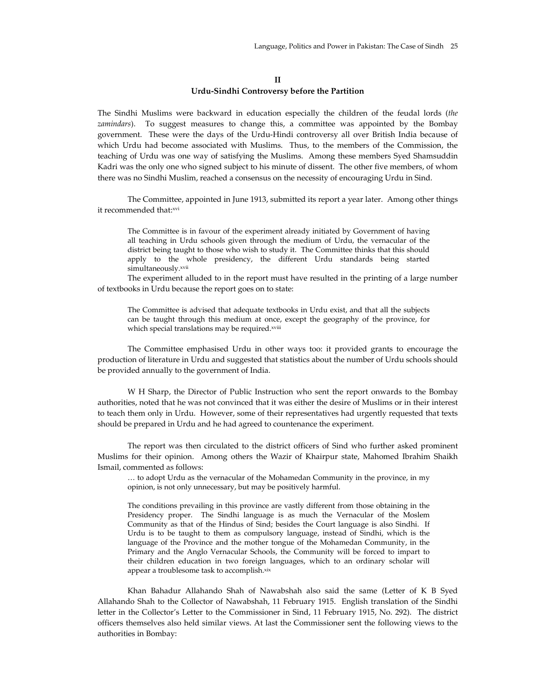## **II Urdu-Sindhi Controversy before the Partition**

The Sindhi Muslims were backward in education especially the children of the feudal lords (*the zamindars*). To suggest measures to change this, a committee was appointed by the Bombay government. These were the days of the Urdu-Hindi controversy all over British India because of which Urdu had become associated with Muslims. Thus, to the members of the Commission, the teaching of Urdu was one way of satisfying the Muslims. Among these members Syed Shamsuddin Kadri was the only one who signed subject to his minute of dissent. The other five members, of whom there was no Sindhi Muslim, reached a consensus on the necessity of encouraging Urdu in Sind.

 The Committee, appointed in June 1913, submitted its report a year later. Among other things it recommended that:xvi

 The Committee is in favour of the experiment already initiated by Government of having all teaching in Urdu schools given through the medium of Urdu, the vernacular of the district being taught to those who wish to study it. The Committee thinks that this should apply to the whole presidency, the different Urdu standards being started simultaneously.xvii

 The experiment alluded to in the report must have resulted in the printing of a large number of textbooks in Urdu because the report goes on to state:

 The Committee is advised that adequate textbooks in Urdu exist, and that all the subjects can be taught through this medium at once, except the geography of the province, for which special translations may be required.xviii

 The Committee emphasised Urdu in other ways too: it provided grants to encourage the production of literature in Urdu and suggested that statistics about the number of Urdu schools should be provided annually to the government of India.

 W H Sharp, the Director of Public Instruction who sent the report onwards to the Bombay authorities, noted that he was not convinced that it was either the desire of Muslims or in their interest to teach them only in Urdu. However, some of their representatives had urgently requested that texts should be prepared in Urdu and he had agreed to countenance the experiment.

 The report was then circulated to the district officers of Sind who further asked prominent Muslims for their opinion. Among others the Wazir of Khairpur state, Mahomed Ibrahim Shaikh Ismail, commented as follows:

 … to adopt Urdu as the vernacular of the Mohamedan Community in the province, in my opinion, is not only unnecessary, but may be positively harmful.

 The conditions prevailing in this province are vastly different from those obtaining in the Presidency proper. The Sindhi language is as much the Vernacular of the Moslem Community as that of the Hindus of Sind; besides the Court language is also Sindhi. If Urdu is to be taught to them as compulsory language, instead of Sindhi, which is the language of the Province and the mother tongue of the Mohamedan Community, in the Primary and the Anglo Vernacular Schools, the Community will be forced to impart to their children education in two foreign languages, which to an ordinary scholar will appear a troublesome task to accomplish.xix

 Khan Bahadur Allahando Shah of Nawabshah also said the same (Letter of K B Syed Allahando Shah to the Collector of Nawabshah, 11 February 1915. English translation of the Sindhi letter in the Collector's Letter to the Commissioner in Sind, 11 February 1915, No. 292). The district officers themselves also held similar views. At last the Commissioner sent the following views to the authorities in Bombay: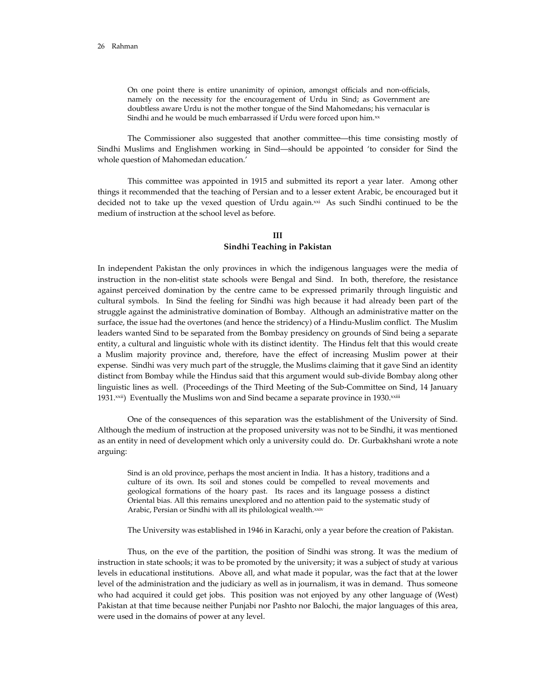On one point there is entire unanimity of opinion, amongst officials and non-officials, namely on the necessity for the encouragement of Urdu in Sind; as Government are doubtless aware Urdu is not the mother tongue of the Sind Mahomedans; his vernacular is Sindhi and he would be much embarrassed if Urdu were forced upon him.<sup>xx</sup>

 The Commissioner also suggested that another committee—this time consisting mostly of Sindhi Muslims and Englishmen working in Sind—should be appointed 'to consider for Sind the whole question of Mahomedan education.'

 This committee was appointed in 1915 and submitted its report a year later. Among other things it recommended that the teaching of Persian and to a lesser extent Arabic, be encouraged but it decided not to take up the vexed question of Urdu again. $x^{\alpha}$  As such Sindhi continued to be the medium of instruction at the school level as before.

#### **III Sindhi Teaching in Pakistan**

In independent Pakistan the only provinces in which the indigenous languages were the media of instruction in the non-elitist state schools were Bengal and Sind. In both, therefore, the resistance against perceived domination by the centre came to be expressed primarily through linguistic and cultural symbols. In Sind the feeling for Sindhi was high because it had already been part of the struggle against the administrative domination of Bombay. Although an administrative matter on the surface, the issue had the overtones (and hence the stridency) of a Hindu-Muslim conflict. The Muslim leaders wanted Sind to be separated from the Bombay presidency on grounds of Sind being a separate entity, a cultural and linguistic whole with its distinct identity. The Hindus felt that this would create a Muslim majority province and, therefore, have the effect of increasing Muslim power at their expense. Sindhi was very much part of the struggle, the Muslims claiming that it gave Sind an identity distinct from Bombay while the Hindus said that this argument would sub-divide Bombay along other linguistic lines as well. (Proceedings of the Third Meeting of the Sub-Committee on Sind, 14 January 1931.<sup>xxii</sup>) Eventually the Muslims won and Sind became a separate province in 1930.<sup>xxiii</sup>

 One of the consequences of this separation was the establishment of the University of Sind. Although the medium of instruction at the proposed university was not to be Sindhi, it was mentioned as an entity in need of development which only a university could do. Dr. Gurbakhshani wrote a note arguing:

 Sind is an old province, perhaps the most ancient in India. It has a history, traditions and a culture of its own. Its soil and stones could be compelled to reveal movements and geological formations of the hoary past. Its races and its language possess a distinct Oriental bias. All this remains unexplored and no attention paid to the systematic study of Arabic, Persian or Sindhi with all its philological wealth.xxiv

The University was established in 1946 in Karachi, only a year before the creation of Pakistan.

 Thus, on the eve of the partition, the position of Sindhi was strong. It was the medium of instruction in state schools; it was to be promoted by the university; it was a subject of study at various levels in educational institutions. Above all, and what made it popular, was the fact that at the lower level of the administration and the judiciary as well as in journalism, it was in demand. Thus someone who had acquired it could get jobs. This position was not enjoyed by any other language of (West) Pakistan at that time because neither Punjabi nor Pashto nor Balochi, the major languages of this area, were used in the domains of power at any level.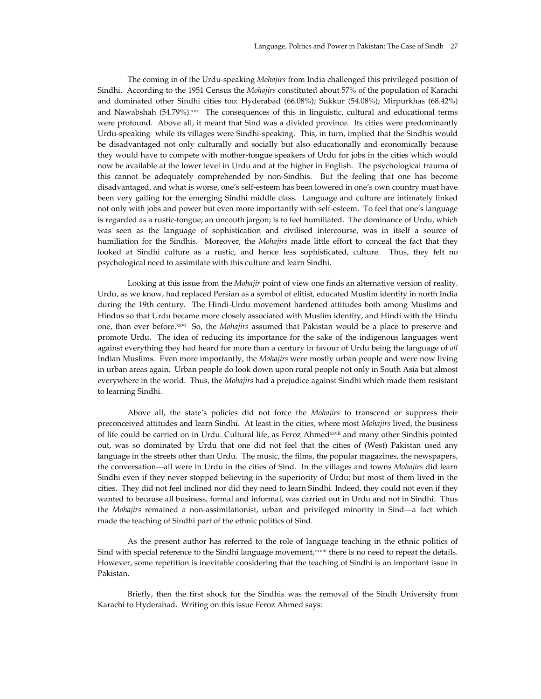The coming in of the Urdu-speaking *Mohajirs* from India challenged this privileged position of Sindhi. According to the 1951 Census the *Mohajirs* constituted about 57% of the population of Karachi and dominated other Sindhi cities too: Hyderabad (66.08%); Sukkur (54.08%); Mirpurkhas (68.42%) and Nawabshah (54.79%).xxv The consequences of this in linguistic, cultural and educational terms were profound. Above all, it meant that Sind was a divided province. Its cities were predominantly Urdu-speaking while its villages were Sindhi-speaking. This, in turn, implied that the Sindhis would be disadvantaged not only culturally and socially but also educationally and economically because they would have to compete with mother-tongue speakers of Urdu for jobs in the cities which would now be available at the lower level in Urdu and at the higher in English. The psychological trauma of this cannot be adequately comprehended by non-Sindhis. But the feeling that one has become disadvantaged, and what is worse, one's self-esteem has been lowered in one's own country must have been very galling for the emerging Sindhi middle class. Language and culture are intimately linked not only with jobs and power but even more importantly with self-esteem. To feel that one's language is regarded as a rustic-tongue; an uncouth jargon; is to feel humiliated. The dominance of Urdu, which was seen as the language of sophistication and civilised intercourse, was in itself a source of humiliation for the Sindhis. Moreover, the *Mohajirs* made little effort to conceal the fact that they looked at Sindhi culture as a rustic, and hence less sophisticated, culture. Thus, they felt no psychological need to assimilate with this culture and learn Sindhi.

 Looking at this issue from the *Mohajir* point of view one finds an alternative version of reality. Urdu, as we know, had replaced Persian as a symbol of elitist, educated Muslim identity in north India during the 19th century. The Hindi-Urdu movement hardened attitudes both among Muslims and Hindus so that Urdu became more closely associated with Muslim identity, and Hindi with the Hindu one, than ever before.xxvi So, the *Mohajirs* assumed that Pakistan would be a place to preserve and promote Urdu. The idea of reducing its importance for the sake of the indigenous languages went against everything they had heard for more than a century in favour of Urdu being the language of *all* Indian Muslims. Even more importantly, the *Mohajirs* were mostly urban people and were now living in urban areas again. Urban people do look down upon rural people not only in South Asia but almost everywhere in the world. Thus, the *Mohajirs* had a prejudice against Sindhi which made them resistant to learning Sindhi.

 Above all, the state's policies did not force the *Mohajirs* to transcend or suppress their preconceived attitudes and learn Sindhi. At least in the cities, where most *Mohajirs* lived, the business of life could be carried on in Urdu. Cultural life, as Feroz Ahmedxxvii and many other Sindhis pointed out, was so dominated by Urdu that one did not feel that the cities of (West) Pakistan used any language in the streets other than Urdu. The music, the films, the popular magazines, the newspapers, the conversation—all were in Urdu in the cities of Sind. In the villages and towns *Mohajirs* did learn Sindhi even if they never stopped believing in the superiority of Urdu; but most of them lived in the cities. They did not feel inclined nor did they need to learn Sindhi. Indeed, they could not even if they wanted to because all business, formal and informal, was carried out in Urdu and not in Sindhi. Thus the *Mohajirs* remained a non-assimilationist, urban and privileged minority in Sind—a fact which made the teaching of Sindhi part of the ethnic politics of Sind.

 As the present author has referred to the role of language teaching in the ethnic politics of Sind with special reference to the Sindhi language movement, xxviii there is no need to repeat the details. However, some repetition is inevitable considering that the teaching of Sindhi is an important issue in Pakistan.

 Briefly, then the first shock for the Sindhis was the removal of the Sindh University from Karachi to Hyderabad. Writing on this issue Feroz Ahmed says: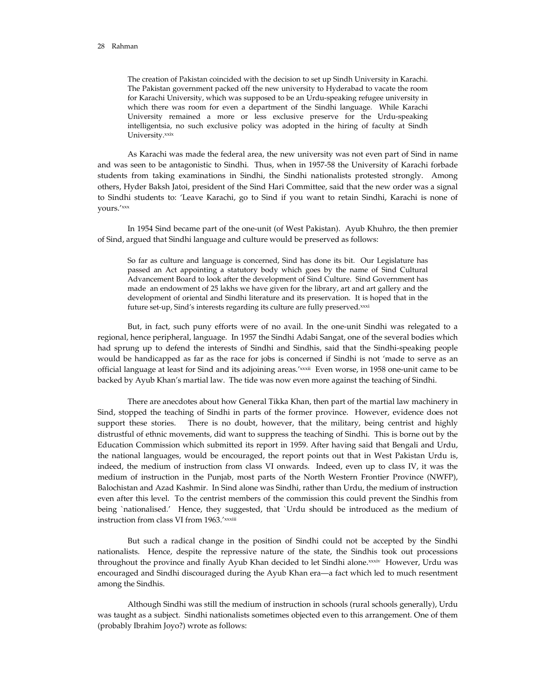The creation of Pakistan coincided with the decision to set up Sindh University in Karachi. The Pakistan government packed off the new university to Hyderabad to vacate the room for Karachi University, which was supposed to be an Urdu-speaking refugee university in which there was room for even a department of the Sindhi language. While Karachi University remained a more or less exclusive preserve for the Urdu-speaking intelligentsia, no such exclusive policy was adopted in the hiring of faculty at Sindh University.xxix

 As Karachi was made the federal area, the new university was not even part of Sind in name and was seen to be antagonistic to Sindhi. Thus, when in 1957-58 the University of Karachi forbade students from taking examinations in Sindhi, the Sindhi nationalists protested strongly. Among others, Hyder Baksh Jatoi, president of the Sind Hari Committee, said that the new order was a signal to Sindhi students to: 'Leave Karachi, go to Sind if you want to retain Sindhi, Karachi is none of yours.'xxx

 In 1954 Sind became part of the one-unit (of West Pakistan). Ayub Khuhro, the then premier of Sind, argued that Sindhi language and culture would be preserved as follows:

 So far as culture and language is concerned, Sind has done its bit. Our Legislature has passed an Act appointing a statutory body which goes by the name of Sind Cultural Advancement Board to look after the development of Sind Culture. Sind Government has made an endowment of 25 lakhs we have given for the library, art and art gallery and the development of oriental and Sindhi literature and its preservation. It is hoped that in the future set-up, Sind's interests regarding its culture are fully preserved.xxxi

 But, in fact, such puny efforts were of no avail. In the one-unit Sindhi was relegated to a regional, hence peripheral, language. In 1957 the Sindhi Adabi Sangat, one of the several bodies which had sprung up to defend the interests of Sindhi and Sindhis, said that the Sindhi-speaking people would be handicapped as far as the race for jobs is concerned if Sindhi is not 'made to serve as an official language at least for Sind and its adjoining areas.'xxxii Even worse, in 1958 one-unit came to be backed by Ayub Khan's martial law. The tide was now even more against the teaching of Sindhi.

 There are anecdotes about how General Tikka Khan, then part of the martial law machinery in Sind, stopped the teaching of Sindhi in parts of the former province. However, evidence does not support these stories. There is no doubt, however, that the military, being centrist and highly distrustful of ethnic movements, did want to suppress the teaching of Sindhi. This is borne out by the Education Commission which submitted its report in 1959. After having said that Bengali and Urdu, the national languages, would be encouraged, the report points out that in West Pakistan Urdu is, indeed, the medium of instruction from class VI onwards. Indeed, even up to class IV, it was the medium of instruction in the Punjab, most parts of the North Western Frontier Province (NWFP), Balochistan and Azad Kashmir. In Sind alone was Sindhi, rather than Urdu, the medium of instruction even after this level. To the centrist members of the commission this could prevent the Sindhis from being `nationalised.' Hence, they suggested, that `Urdu should be introduced as the medium of instruction from class VI from 1963.'xxxiii

 But such a radical change in the position of Sindhi could not be accepted by the Sindhi nationalists. Hence, despite the repressive nature of the state, the Sindhis took out processions throughout the province and finally Ayub Khan decided to let Sindhi alone.xxxiv However, Urdu was encouraged and Sindhi discouraged during the Ayub Khan era—a fact which led to much resentment among the Sindhis.

 Although Sindhi was still the medium of instruction in schools (rural schools generally), Urdu was taught as a subject. Sindhi nationalists sometimes objected even to this arrangement. One of them (probably Ibrahim Joyo?) wrote as follows: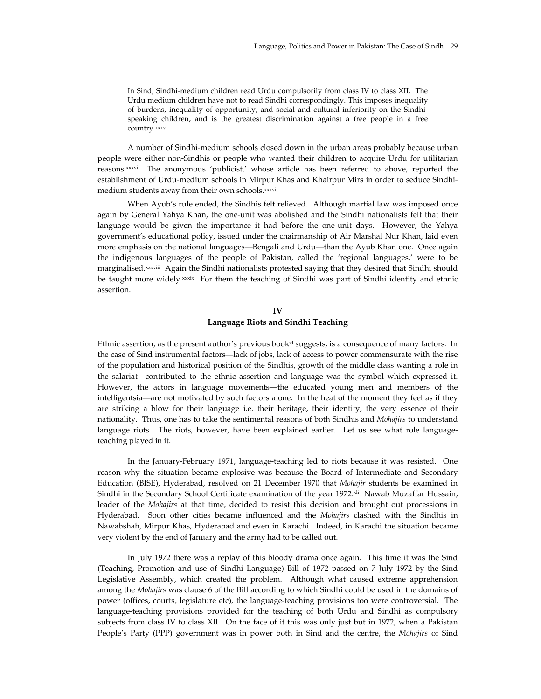In Sind, Sindhi-medium children read Urdu compulsorily from class IV to class XII. The Urdu medium children have not to read Sindhi correspondingly. This imposes inequality of burdens, inequality of opportunity, and social and cultural inferiority on the Sindhispeaking children, and is the greatest discrimination against a free people in a free country.xxxv

 A number of Sindhi-medium schools closed down in the urban areas probably because urban people were either non-Sindhis or people who wanted their children to acquire Urdu for utilitarian reasons.xxxvi The anonymous 'publicist,' whose article has been referred to above, reported the establishment of Urdu-medium schools in Mirpur Khas and Khairpur Mirs in order to seduce Sindhimedium students away from their own schools.xxxvii

 When Ayub's rule ended, the Sindhis felt relieved. Although martial law was imposed once again by General Yahya Khan, the one-unit was abolished and the Sindhi nationalists felt that their language would be given the importance it had before the one-unit days. However, the Yahya government's educational policy, issued under the chairmanship of Air Marshal Nur Khan, laid even more emphasis on the national languages—Bengali and Urdu—than the Ayub Khan one. Once again the indigenous languages of the people of Pakistan, called the 'regional languages,' were to be marginalised.<sup>xxxviii</sup> Again the Sindhi nationalists protested saying that they desired that Sindhi should be taught more widely.<sup>xxxix</sup> For them the teaching of Sindhi was part of Sindhi identity and ethnic assertion.

## **IV Language Riots and Sindhi Teaching**

Ethnic assertion, as the present author's previous book<sup>x1</sup> suggests, is a consequence of many factors. In the case of Sind instrumental factors—lack of jobs, lack of access to power commensurate with the rise of the population and historical position of the Sindhis, growth of the middle class wanting a role in the salariat—contributed to the ethnic assertion and language was the symbol which expressed it. However, the actors in language movements—the educated young men and members of the intelligentsia—are not motivated by such factors alone. In the heat of the moment they feel as if they are striking a blow for their language i.e. their heritage, their identity, the very essence of their nationality. Thus, one has to take the sentimental reasons of both Sindhis and *Mohajirs* to understand language riots. The riots, however, have been explained earlier. Let us see what role languageteaching played in it.

 In the January-February 1971, language-teaching led to riots because it was resisted. One reason why the situation became explosive was because the Board of Intermediate and Secondary Education (BISE), Hyderabad, resolved on 21 December 1970 that *Mohajir* students be examined in Sindhi in the Secondary School Certificate examination of the year 1972.<sup>xli</sup> Nawab Muzaffar Hussain, leader of the *Mohajirs* at that time, decided to resist this decision and brought out processions in Hyderabad. Soon other cities became influenced and the *Mohajirs* clashed with the Sindhis in Nawabshah, Mirpur Khas, Hyderabad and even in Karachi. Indeed, in Karachi the situation became very violent by the end of January and the army had to be called out.

 In July 1972 there was a replay of this bloody drama once again. This time it was the Sind (Teaching, Promotion and use of Sindhi Language) Bill of 1972 passed on 7 July 1972 by the Sind Legislative Assembly, which created the problem. Although what caused extreme apprehension among the *Mohajirs* was clause 6 of the Bill according to which Sindhi could be used in the domains of power (offices, courts, legislature etc), the language-teaching provisions too were controversial. The language-teaching provisions provided for the teaching of both Urdu and Sindhi as compulsory subjects from class IV to class XII. On the face of it this was only just but in 1972, when a Pakistan People's Party (PPP) government was in power both in Sind and the centre, the *Mohajirs* of Sind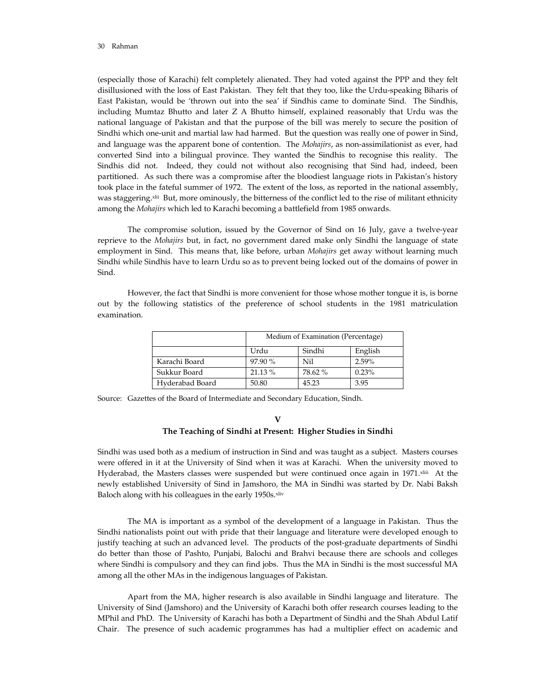(especially those of Karachi) felt completely alienated. They had voted against the PPP and they felt disillusioned with the loss of East Pakistan. They felt that they too, like the Urdu-speaking Biharis of East Pakistan, would be 'thrown out into the sea' if Sindhis came to dominate Sind. The Sindhis, including Mumtaz Bhutto and later Z A Bhutto himself, explained reasonably that Urdu was the national language of Pakistan and that the purpose of the bill was merely to secure the position of Sindhi which one-unit and martial law had harmed. But the question was really one of power in Sind, and language was the apparent bone of contention. The *Mohajirs*, as non-assimilationist as ever, had converted Sind into a bilingual province. They wanted the Sindhis to recognise this reality. The Sindhis did not. Indeed, they could not without also recognising that Sind had, indeed, been partitioned. As such there was a compromise after the bloodiest language riots in Pakistan's history took place in the fateful summer of 1972. The extent of the loss, as reported in the national assembly, was staggering.<sup>xlii</sup> But, more ominously, the bitterness of the conflict led to the rise of militant ethnicity among the *Mohajirs* which led to Karachi becoming a battlefield from 1985 onwards.

 The compromise solution, issued by the Governor of Sind on 16 July, gave a twelve-year reprieve to the *Mohajirs* but, in fact, no government dared make only Sindhi the language of state employment in Sind. This means that, like before, urban *Mohajirs* get away without learning much Sindhi while Sindhis have to learn Urdu so as to prevent being locked out of the domains of power in Sind.

 However, the fact that Sindhi is more convenient for those whose mother tongue it is, is borne out by the following statistics of the preference of school students in the 1981 matriculation examination.

|                 | Medium of Examination (Percentage) |         |         |
|-----------------|------------------------------------|---------|---------|
|                 | Urdu                               | Sindhi  | English |
| Karachi Board   | 97.90 %                            | Nil     | 2.59%   |
| Sukkur Board    | 21.13 %                            | 78.62 % | 0.23%   |
| Hyderabad Board | 50.80                              | 45.23   | 3.95    |

Source: Gazettes of the Board of Intermediate and Secondary Education, Sindh.

#### **V**

#### **The Teaching of Sindhi at Present: Higher Studies in Sindhi**

Sindhi was used both as a medium of instruction in Sind and was taught as a subject. Masters courses were offered in it at the University of Sind when it was at Karachi. When the university moved to Hyderabad, the Masters classes were suspended but were continued once again in 1971. Xliii At the newly established University of Sind in Jamshoro, the MA in Sindhi was started by Dr. Nabi Baksh Baloch along with his colleagues in the early 1950s.xliv

 The MA is important as a symbol of the development of a language in Pakistan. Thus the Sindhi nationalists point out with pride that their language and literature were developed enough to justify teaching at such an advanced level. The products of the post-graduate departments of Sindhi do better than those of Pashto, Punjabi, Balochi and Brahvi because there are schools and colleges where Sindhi is compulsory and they can find jobs. Thus the MA in Sindhi is the most successful MA among all the other MAs in the indigenous languages of Pakistan.

 Apart from the MA, higher research is also available in Sindhi language and literature. The University of Sind (Jamshoro) and the University of Karachi both offer research courses leading to the MPhil and PhD. The University of Karachi has both a Department of Sindhi and the Shah Abdul Latif Chair. The presence of such academic programmes has had a multiplier effect on academic and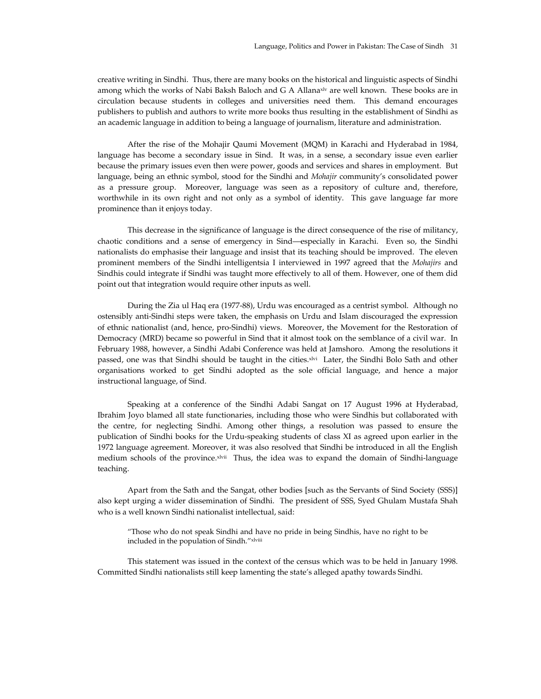creative writing in Sindhi. Thus, there are many books on the historical and linguistic aspects of Sindhi among which the works of Nabi Baksh Baloch and G A Allanaxly are well known. These books are in circulation because students in colleges and universities need them. This demand encourages publishers to publish and authors to write more books thus resulting in the establishment of Sindhi as an academic language in addition to being a language of journalism, literature and administration.

 After the rise of the Mohajir Qaumi Movement (MQM) in Karachi and Hyderabad in 1984, language has become a secondary issue in Sind. It was, in a sense, a secondary issue even earlier because the primary issues even then were power, goods and services and shares in employment. But language, being an ethnic symbol, stood for the Sindhi and *Mohajir* community's consolidated power as a pressure group. Moreover, language was seen as a repository of culture and, therefore, worthwhile in its own right and not only as a symbol of identity. This gave language far more prominence than it enjoys today.

 This decrease in the significance of language is the direct consequence of the rise of militancy, chaotic conditions and a sense of emergency in Sind—especially in Karachi. Even so, the Sindhi nationalists do emphasise their language and insist that its teaching should be improved. The eleven prominent members of the Sindhi intelligentsia I interviewed in 1997 agreed that the *Mohajirs* and Sindhis could integrate if Sindhi was taught more effectively to all of them. However, one of them did point out that integration would require other inputs as well.

 During the Zia ul Haq era (1977-88), Urdu was encouraged as a centrist symbol. Although no ostensibly anti-Sindhi steps were taken, the emphasis on Urdu and Islam discouraged the expression of ethnic nationalist (and, hence, pro-Sindhi) views. Moreover, the Movement for the Restoration of Democracy (MRD) became so powerful in Sind that it almost took on the semblance of a civil war. In February 1988, however, a Sindhi Adabi Conference was held at Jamshoro. Among the resolutions it passed, one was that Sindhi should be taught in the cities.xlvi Later, the Sindhi Bolo Sath and other organisations worked to get Sindhi adopted as the sole official language, and hence a major instructional language, of Sind.

 Speaking at a conference of the Sindhi Adabi Sangat on 17 August 1996 at Hyderabad, Ibrahim Joyo blamed all state functionaries, including those who were Sindhis but collaborated with the centre, for neglecting Sindhi. Among other things, a resolution was passed to ensure the publication of Sindhi books for the Urdu-speaking students of class XI as agreed upon earlier in the 1972 language agreement. Moreover, it was also resolved that Sindhi be introduced in all the English medium schools of the province.xlvii Thus, the idea was to expand the domain of Sindhi-language teaching.

 Apart from the Sath and the Sangat, other bodies [such as the Servants of Sind Society (SSS)] also kept urging a wider dissemination of Sindhi. The president of SSS, Syed Ghulam Mustafa Shah who is a well known Sindhi nationalist intellectual, said:

 "Those who do not speak Sindhi and have no pride in being Sindhis, have no right to be included in the population of Sindh."xlviii

 This statement was issued in the context of the census which was to be held in January 1998. Committed Sindhi nationalists still keep lamenting the state's alleged apathy towards Sindhi.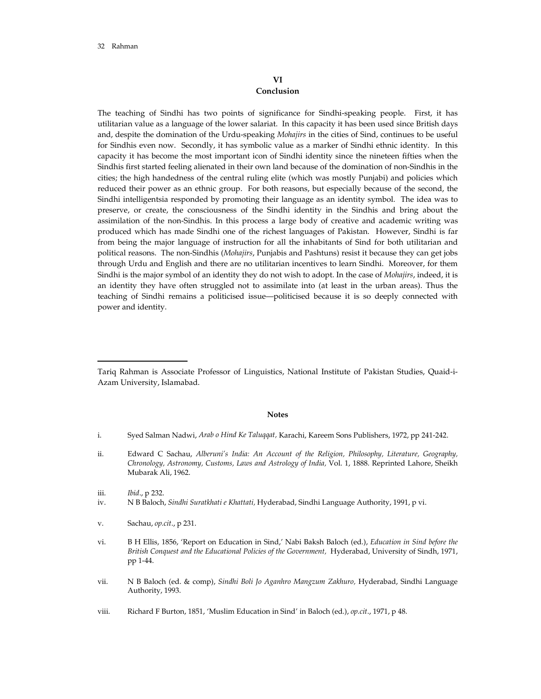## **VI Conclusion**

The teaching of Sindhi has two points of significance for Sindhi-speaking people. First, it has utilitarian value as a language of the lower salariat. In this capacity it has been used since British days and, despite the domination of the Urdu-speaking *Mohajirs* in the cities of Sind, continues to be useful for Sindhis even now. Secondly, it has symbolic value as a marker of Sindhi ethnic identity. In this capacity it has become the most important icon of Sindhi identity since the nineteen fifties when the Sindhis first started feeling alienated in their own land because of the domination of non-Sindhis in the cities; the high handedness of the central ruling elite (which was mostly Punjabi) and policies which reduced their power as an ethnic group. For both reasons, but especially because of the second, the Sindhi intelligentsia responded by promoting their language as an identity symbol. The idea was to preserve, or create, the consciousness of the Sindhi identity in the Sindhis and bring about the assimilation of the non-Sindhis. In this process a large body of creative and academic writing was produced which has made Sindhi one of the richest languages of Pakistan. However, Sindhi is far from being the major language of instruction for all the inhabitants of Sind for both utilitarian and political reasons. The non-Sindhis (*Mohajirs*, Punjabis and Pashtuns) resist it because they can get jobs through Urdu and English and there are no utilitarian incentives to learn Sindhi. Moreover, for them Sindhi is the major symbol of an identity they do not wish to adopt. In the case of *Mohajirs*, indeed, it is an identity they have often struggled not to assimilate into (at least in the urban areas). Thus the teaching of Sindhi remains a politicised issue—politicised because it is so deeply connected with power and identity.

#### **Notes**

- i. Syed Salman Nadwi, *Arab o Hind Ke Taluqqat,* Karachi, Kareem Sons Publishers, 1972, pp 241-242.
- ii. Edward C Sachau, *Alberuni's India: An Account of the Religion, Philosophy, Literature, Geography, Chronology, Astronomy, Customs, Laws and Astrology of India,* Vol. 1, 1888. Reprinted Lahore, Sheikh Mubarak Ali, 1962.

- iv. N B Baloch, *Sindhi Suratkhati e Khattati,* Hyderabad, Sindhi Language Authority, 1991, p vi.
- v. Sachau, *op.cit*., p 231.
- vi. B H Ellis, 1856, 'Report on Education in Sind,' Nabi Baksh Baloch (ed.), *Education in Sind before the British Conquest and the Educational Policies of the Government,* Hyderabad, University of Sindh, 1971, pp 1-44.
- vii. N B Baloch (ed. & comp), *Sindhi Boli Jo Aganhro Mangzum Zakhuro,* Hyderabad, Sindhi Language Authority, 1993.
- viii. Richard F Burton, 1851, 'Muslim Education in Sind' in Baloch (ed.), *op.cit*., 1971, p 48.

Tariq Rahman is Associate Professor of Linguistics, National Institute of Pakistan Studies, Quaid-i-Azam University, Islamabad.

iii. *Ibid*., p 232.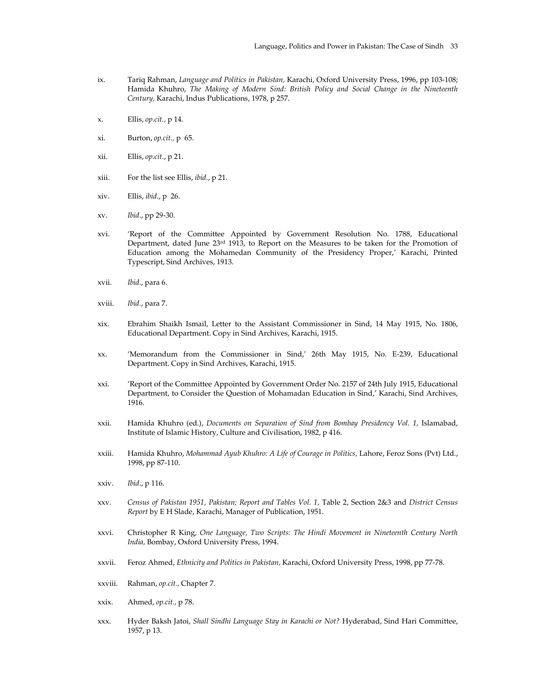- ix. Tariq Rahman, *Language and Politics in Pakistan,* Karachi, Oxford University Press, 1996, pp 103-108; Hamida Khuhro, *The Making of Modern Sind: British Policy and Social Change in the Nineteenth Century,* Karachi, Indus Publications, 1978, p 257.
- x. Ellis, *op.cit.,* p 14.
- xi. Burton, *op.cit.,* p 65.
- xii. Ellis, *op.cit*., p 21.
- xiii. For the list see Ellis, *ibid*., p 21.
- xiv. Ellis, *ibid*., p 26.
- xv. *Ibid*., pp 29-30.
- xvi. 'Report of the Committee Appointed by Government Resolution No. 1788, Educational Department, dated June 23rd 1913, to Report on the Measures to be taken for the Promotion of Education among the Mohamedan Community of the Presidency Proper,' Karachi, Printed Typescript, Sind Archives, 1913.
- xvii. *Ibid*., para 6.
- xviii. *Ibid.*, para 7.
- xix. Ebrahim Shaikh Ismail, Letter to the Assistant Commissioner in Sind, 14 May 1915, No. 1806, Educational Department. Copy in Sind Archives, Karachi, 1915.
- xx. 'Memorandum from the Commissioner in Sind,' 26th May 1915, No. E-239, Educational Department. Copy in Sind Archives, Karachi, 1915.
- xxi. 'Report of the Committee Appointed by Government Order No. 2157 of 24th July 1915, Educational Department, to Consider the Question of Mohamadan Education in Sind,' Karachi, Sind Archives, 1916.
- xxii. Hamida Khuhro (ed.), *Documents on Separation of Sind from Bombay Presidency Vol. 1,* Islamabad, Institute of Islamic History, Culture and Civilisation, 1982, p 416.
- xxiii. Hamida Khuhro, *Mohammad Ayub Khuhro: A Life of Courage in Politics,* Lahore, Feroz Sons (Pvt) Ltd., 1998, pp 87-110.
- xxiv. *Ibid*., p 116.
- xxv. *Census of Pakistan 1951, Pakistan; Report and Tables Vol. 1,* Table 2, Section 2&3 and *District Census Report* by E H Slade, Karachi, Manager of Publication, 1951.
- xxvi. Christopher R King, *One Language, Two Scripts: The Hindi Movement in Nineteenth Century North India,* Bombay, Oxford University Press, 1994.
- xxvii. Feroz Ahmed, *Ethnicity and Politics in Pakistan,* Karachi, Oxford University Press, 1998, pp 77-78.
- xxviii. Rahman, *op.cit.,* Chapter 7.
- xxix. Ahmed, *op.cit.,* p 78.
- xxx. Hyder Baksh Jatoi, *Shall Sindhi Language Stay in Karachi or Not?* Hyderabad, Sind Hari Committee, 1957, p 13.